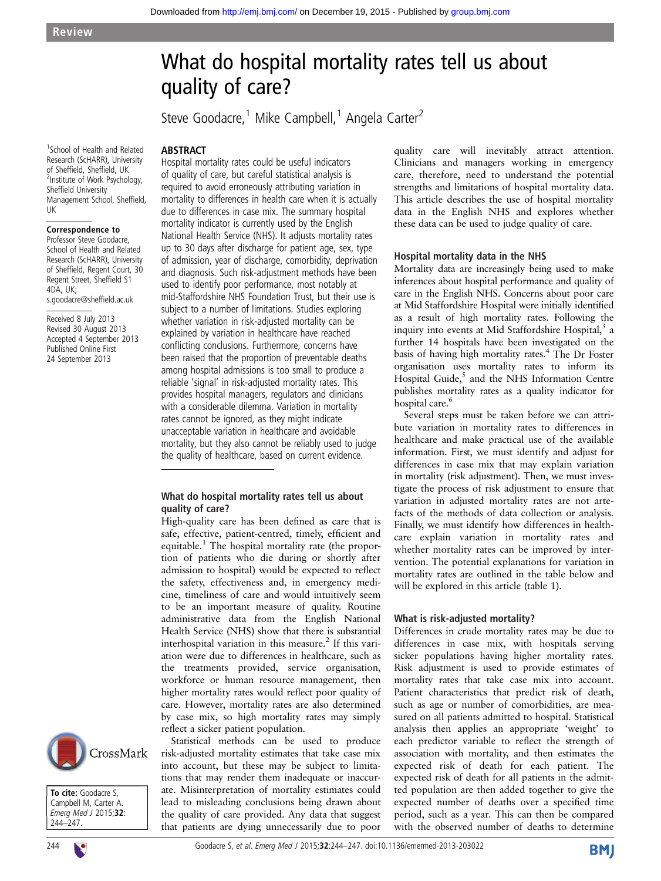# What do hospital mortality rates tell us about quality of care?

Steve Goodacre,<sup>1</sup> Mike Campbell,<sup>1</sup> Angela Carter<sup>2</sup>

1 School of Health and Related Research (ScHARR), University of Sheffield, Sheffield, UK <sup>2</sup> <sup>2</sup>Institute of Work Psychology, Sheffield University Management School, Sheffield, UK

ABSTRACT

#### Correspondence to

Professor Steve Goodacre, School of Health and Related Research (ScHARR), University of Sheffield, Regent Court, 30 Regent Street, Sheffield S1 4DA, UK; s.goodacre@sheffield.ac.uk

Received 8 July 2013 Revised 30 August 2013 Accepted 4 September 2013 Published Online First 24 September 2013

Hospital mortality rates could be useful indicators of quality of care, but careful statistical analysis is required to avoid erroneously attributing variation in mortality to differences in health care when it is actually due to differences in case mix. The summary hospital mortality indicator is currently used by the English National Health Service (NHS). It adjusts mortality rates up to 30 days after discharge for patient age, sex, type of admission, year of discharge, comorbidity, deprivation and diagnosis. Such risk-adjustment methods have been used to identify poor performance, most notably at mid-Staffordshire NHS Foundation Trust, but their use is subject to a number of limitations. Studies exploring whether variation in risk-adjusted mortality can be explained by variation in healthcare have reached conflicting conclusions. Furthermore, concerns have been raised that the proportion of preventable deaths among hospital admissions is too small to produce a reliable 'signal' in risk-adjusted mortality rates. This provides hospital managers, regulators and clinicians with a considerable dilemma. Variation in mortality rates cannot be ignored, as they might indicate unacceptable variation in healthcare and avoidable mortality, but they also cannot be reliably used to judge the quality of healthcare, based on current evidence.

## What do hospital mortality rates tell us about quality of care?

High-quality care has been defined as care that is safe, effective, patient-centred, timely, efficient and equitable.<sup>1</sup> The hospital mortality rate (the proportion of patients who die during or shortly after admission to hospital) would be expected to reflect the safety, effectiveness and, in emergency medicine, timeliness of care and would intuitively seem to be an important measure of quality. Routine administrative data from the English National Health Service (NHS) show that there is substantial interhospital variation in this measure.<sup>2</sup> If this variation were due to differences in healthcare, such as the treatments provided, service organisation, workforce or human resource management, then higher mortality rates would reflect poor quality of care. However, mortality rates are also determined by case mix, so high mortality rates may simply reflect a sicker patient population.

Statistical methods can be used to produce risk-adjusted mortality estimates that take case mix into account, but these may be subject to limitations that may render them inadequate or inaccurate. Misinterpretation of mortality estimates could lead to misleading conclusions being drawn about the quality of care provided. Any data that suggest that patients are dying unnecessarily due to poor

quality care will inevitably attract attention. Clinicians and managers working in emergency care, therefore, need to understand the potential strengths and limitations of hospital mortality data. This article describes the use of hospital mortality data in the English NHS and explores whether these data can be used to judge quality of care.

#### Hospital mortality data in the NHS

Mortality data are increasingly being used to make inferences about hospital performance and quality of care in the English NHS. Concerns about poor care at Mid Staffordshire Hospital were initially identified as a result of high mortality rates. Following the inquiry into events at Mid Staffordshire Hospital,<sup>3</sup> a further 14 hospitals have been investigated on the basis of having high mortality rates.<sup>4</sup> The Dr Foster organisation uses mortality rates to inform its Hospital Guide,<sup>5</sup> and the NHS Information Centre publishes mortality rates as a quality indicator for hospital care.<sup>6</sup>

Several steps must be taken before we can attribute variation in mortality rates to differences in healthcare and make practical use of the available information. First, we must identify and adjust for differences in case mix that may explain variation in mortality (risk adjustment). Then, we must investigate the process of risk adjustment to ensure that variation in adjusted mortality rates are not artefacts of the methods of data collection or analysis. Finally, we must identify how differences in healthcare explain variation in mortality rates and whether mortality rates can be improved by intervention. The potential explanations for variation in mortality rates are outlined in the table below and will be explored in this article (table 1).

### What is risk-adjusted mortality?

Differences in crude mortality rates may be due to differences in case mix, with hospitals serving sicker populations having higher mortality rates. Risk adjustment is used to provide estimates of mortality rates that take case mix into account. Patient characteristics that predict risk of death, such as age or number of comorbidities, are measured on all patients admitted to hospital. Statistical analysis then applies an appropriate 'weight' to each predictor variable to reflect the strength of association with mortality, and then estimates the expected risk of death for each patient. The expected risk of death for all patients in the admitted population are then added together to give the expected number of deaths over a specified time period, such as a year. This can then be compared with the observed number of deaths to determine





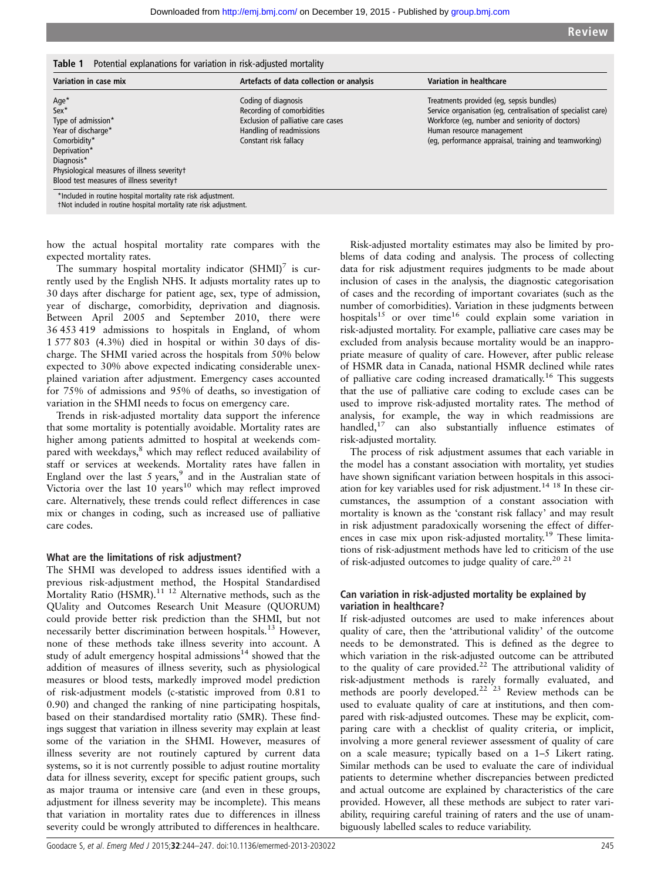Table 1 Potential explanations for variation in risk-adjusted mortality

| Variation in case mix                                                                                                                                                                               | Artefacts of data collection or analysis                                                                                                     | Variation in healthcare                                                                                                                                                                                                                           |
|-----------------------------------------------------------------------------------------------------------------------------------------------------------------------------------------------------|----------------------------------------------------------------------------------------------------------------------------------------------|---------------------------------------------------------------------------------------------------------------------------------------------------------------------------------------------------------------------------------------------------|
| Age*<br>$Sex*$<br>Type of admission*<br>Year of discharge*<br>Comorbidity*<br>Deprivation*<br>Diagnosis*<br>Physiological measures of illness severityt<br>Blood test measures of illness severityt | Coding of diagnosis<br>Recording of comorbidities<br>Exclusion of palliative care cases<br>Handling of readmissions<br>Constant risk fallacy | Treatments provided (eg, sepsis bundles)<br>Service organisation (eq. centralisation of specialist care)<br>Workforce (eq. number and seniority of doctors)<br>Human resource management<br>(eg, performance appraisal, training and teamworking) |
| *Included in routine hospital mortality rate risk adjustment.<br>tNot included in routine hospital mortality rate risk adjustment.                                                                  |                                                                                                                                              |                                                                                                                                                                                                                                                   |

how the actual hospital mortality rate compares with the

expected mortality rates. The summary hospital mortality indicator  $(SHMI)^7$  is currently used by the English NHS. It adjusts mortality rates up to 30 days after discharge for patient age, sex, type of admission, year of discharge, comorbidity, deprivation and diagnosis. Between April 2005 and September 2010, there were 36 453 419 admissions to hospitals in England, of whom 1 577 803 (4.3%) died in hospital or within 30 days of discharge. The SHMI varied across the hospitals from 50% below expected to 30% above expected indicating considerable unexplained variation after adjustment. Emergency cases accounted for 75% of admissions and 95% of deaths, so investigation of variation in the SHMI needs to focus on emergency care.

Trends in risk-adjusted mortality data support the inference that some mortality is potentially avoidable. Mortality rates are higher among patients admitted to hospital at weekends compared with weekdays,<sup>8</sup> which may reflect reduced availability of staff or services at weekends. Mortality rates have fallen in England over the last  $5$  years,<sup>9</sup> and in the Australian state of Victoria over the last 10 years<sup>10</sup> which may reflect improved care. Alternatively, these trends could reflect differences in case mix or changes in coding, such as increased use of palliative care codes.

#### What are the limitations of risk adjustment?

The SHMI was developed to address issues identified with a previous risk-adjustment method, the Hospital Standardised Mortality Ratio (HSMR). $^{11}$   $^{12}$  Alternative methods, such as the QUality and Outcomes Research Unit Measure (QUORUM) could provide better risk prediction than the SHMI, but not necessarily better discrimination between hospitals.<sup>13</sup> However, none of these methods take illness severity into account. A study of adult emergency hospital admissions $14$  showed that the addition of measures of illness severity, such as physiological measures or blood tests, markedly improved model prediction of risk-adjustment models (c-statistic improved from 0.81 to 0.90) and changed the ranking of nine participating hospitals, based on their standardised mortality ratio (SMR). These findings suggest that variation in illness severity may explain at least some of the variation in the SHMI. However, measures of illness severity are not routinely captured by current data systems, so it is not currently possible to adjust routine mortality data for illness severity, except for specific patient groups, such as major trauma or intensive care (and even in these groups, adjustment for illness severity may be incomplete). This means that variation in mortality rates due to differences in illness severity could be wrongly attributed to differences in healthcare.

Risk-adjusted mortality estimates may also be limited by problems of data coding and analysis. The process of collecting data for risk adjustment requires judgments to be made about inclusion of cases in the analysis, the diagnostic categorisation of cases and the recording of important covariates (such as the number of comorbidities). Variation in these judgments between hospitals<sup>15</sup> or over time<sup>16</sup> could explain some variation in risk-adjusted mortality. For example, palliative care cases may be excluded from analysis because mortality would be an inappropriate measure of quality of care. However, after public release of HSMR data in Canada, national HSMR declined while rates of palliative care coding increased dramatically.<sup>16</sup> This suggests that the use of palliative care coding to exclude cases can be used to improve risk-adjusted mortality rates. The method of analysis, for example, the way in which readmissions are handled,<sup>17</sup> can also substantially influence estimates of risk-adjusted mortality.

The process of risk adjustment assumes that each variable in the model has a constant association with mortality, yet studies have shown significant variation between hospitals in this association for key variables used for risk adjustment.14 18 In these circumstances, the assumption of a constant association with mortality is known as the 'constant risk fallacy' and may result in risk adjustment paradoxically worsening the effect of differences in case mix upon risk-adjusted mortality.<sup>19</sup> These limitations of risk-adjustment methods have led to criticism of the use of risk-adjusted outcomes to judge quality of care.<sup>20 21</sup>

## Can variation in risk-adjusted mortality be explained by variation in healthcare?

If risk-adjusted outcomes are used to make inferences about quality of care, then the 'attributional validity' of the outcome needs to be demonstrated. This is defined as the degree to which variation in the risk-adjusted outcome can be attributed to the quality of care provided.<sup>22</sup> The attributional validity of risk-adjustment methods is rarely formally evaluated, and methods are poorly developed.<sup>22 23</sup> Review methods can be used to evaluate quality of care at institutions, and then compared with risk-adjusted outcomes. These may be explicit, comparing care with a checklist of quality criteria, or implicit, involving a more general reviewer assessment of quality of care on a scale measure; typically based on a 1–5 Likert rating. Similar methods can be used to evaluate the care of individual patients to determine whether discrepancies between predicted and actual outcome are explained by characteristics of the care provided. However, all these methods are subject to rater variability, requiring careful training of raters and the use of unambiguously labelled scales to reduce variability.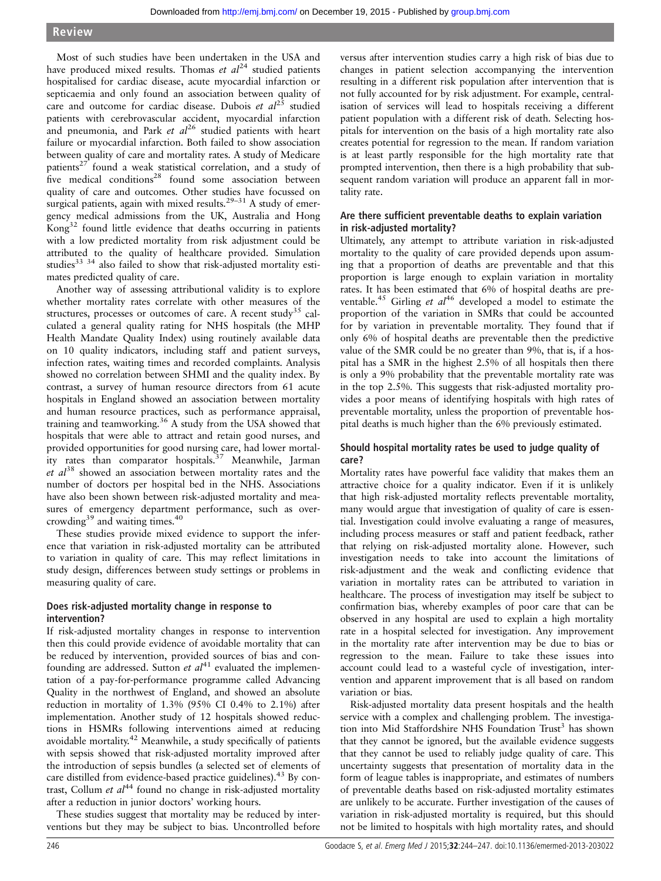## Review

Most of such studies have been undertaken in the USA and have produced mixed results. Thomas et  $al^{24}$  studied patients hospitalised for cardiac disease, acute myocardial infarction or septicaemia and only found an association between quality of care and outcome for cardiac disease. Dubois et  $al^{25}$  studied patients with cerebrovascular accident, myocardial infarction and pneumonia, and Park et  $al^{26}$  studied patients with heart failure or myocardial infarction. Both failed to show association between quality of care and mortality rates. A study of Medicare patients<sup>27</sup> found a weak statistical correlation, and a study of five medical conditions<sup>28</sup> found some association between quality of care and outcomes. Other studies have focussed on surgical patients, again with mixed results.<sup>29-31</sup> A study of emergency medical admissions from the UK, Australia and Hong Kong<sup>32</sup> found little evidence that deaths occurring in patients with a low predicted mortality from risk adjustment could be attributed to the quality of healthcare provided. Simulation studies $33 \times 34$  also failed to show that risk-adjusted mortality estimates predicted quality of care.

Another way of assessing attributional validity is to explore whether mortality rates correlate with other measures of the structures, processes or outcomes of care. A recent study<sup>35</sup> calculated a general quality rating for NHS hospitals (the MHP Health Mandate Quality Index) using routinely available data on 10 quality indicators, including staff and patient surveys, infection rates, waiting times and recorded complaints. Analysis showed no correlation between SHMI and the quality index. By contrast, a survey of human resource directors from 61 acute hospitals in England showed an association between mortality and human resource practices, such as performance appraisal, training and teamworking.36 A study from the USA showed that hospitals that were able to attract and retain good nurses, and provided opportunities for good nursing care, had lower mortality rates than comparator hospitals. $37$  Meanwhile, Jarman  $et$   $al^{38}$  showed an association between mortality rates and the number of doctors per hospital bed in the NHS. Associations have also been shown between risk-adjusted mortality and measures of emergency department performance, such as overcrowding $39$  and waiting times. $40$ 

These studies provide mixed evidence to support the inference that variation in risk-adjusted mortality can be attributed to variation in quality of care. This may reflect limitations in study design, differences between study settings or problems in measuring quality of care.

## Does risk-adjusted mortality change in response to intervention?

If risk-adjusted mortality changes in response to intervention then this could provide evidence of avoidable mortality that can be reduced by intervention, provided sources of bias and confounding are addressed. Sutton et  $al^{41}$  evaluated the implementation of a pay-for-performance programme called Advancing Quality in the northwest of England, and showed an absolute reduction in mortality of 1.3% (95% CI 0.4% to 2.1%) after implementation. Another study of 12 hospitals showed reductions in HSMRs following interventions aimed at reducing avoidable mortality.<sup>42</sup> Meanwhile, a study specifically of patients with sepsis showed that risk-adjusted mortality improved after the introduction of sepsis bundles (a selected set of elements of care distilled from evidence-based practice guidelines).<sup>43</sup> By contrast, Collum *et al*<sup>44</sup> found no change in risk-adjusted mortality after a reduction in junior doctors' working hours.

These studies suggest that mortality may be reduced by interventions but they may be subject to bias. Uncontrolled before

versus after intervention studies carry a high risk of bias due to changes in patient selection accompanying the intervention resulting in a different risk population after intervention that is not fully accounted for by risk adjustment. For example, centralisation of services will lead to hospitals receiving a different patient population with a different risk of death. Selecting hospitals for intervention on the basis of a high mortality rate also creates potential for regression to the mean. If random variation is at least partly responsible for the high mortality rate that prompted intervention, then there is a high probability that subsequent random variation will produce an apparent fall in mortality rate.

## Are there sufficient preventable deaths to explain variation in risk-adjusted mortality?

Ultimately, any attempt to attribute variation in risk-adjusted mortality to the quality of care provided depends upon assuming that a proportion of deaths are preventable and that this proportion is large enough to explain variation in mortality rates. It has been estimated that 6% of hospital deaths are preventable.<sup>45</sup> Girling et  $al^{46}$  developed a model to estimate the proportion of the variation in SMRs that could be accounted for by variation in preventable mortality. They found that if only 6% of hospital deaths are preventable then the predictive value of the SMR could be no greater than 9%, that is, if a hospital has a SMR in the highest 2.5% of all hospitals then there is only a 9% probability that the preventable mortality rate was in the top 2.5%. This suggests that risk-adjusted mortality provides a poor means of identifying hospitals with high rates of preventable mortality, unless the proportion of preventable hospital deaths is much higher than the 6% previously estimated.

## Should hospital mortality rates be used to judge quality of care?

Mortality rates have powerful face validity that makes them an attractive choice for a quality indicator. Even if it is unlikely that high risk-adjusted mortality reflects preventable mortality, many would argue that investigation of quality of care is essential. Investigation could involve evaluating a range of measures, including process measures or staff and patient feedback, rather that relying on risk-adjusted mortality alone. However, such investigation needs to take into account the limitations of risk-adjustment and the weak and conflicting evidence that variation in mortality rates can be attributed to variation in healthcare. The process of investigation may itself be subject to confirmation bias, whereby examples of poor care that can be observed in any hospital are used to explain a high mortality rate in a hospital selected for investigation. Any improvement in the mortality rate after intervention may be due to bias or regression to the mean. Failure to take these issues into account could lead to a wasteful cycle of investigation, intervention and apparent improvement that is all based on random variation or bias.

Risk-adjusted mortality data present hospitals and the health service with a complex and challenging problem. The investigation into Mid Staffordshire NHS Foundation Trust<sup>3</sup> has shown that they cannot be ignored, but the available evidence suggests that they cannot be used to reliably judge quality of care. This uncertainty suggests that presentation of mortality data in the form of league tables is inappropriate, and estimates of numbers of preventable deaths based on risk-adjusted mortality estimates are unlikely to be accurate. Further investigation of the causes of variation in risk-adjusted mortality is required, but this should not be limited to hospitals with high mortality rates, and should